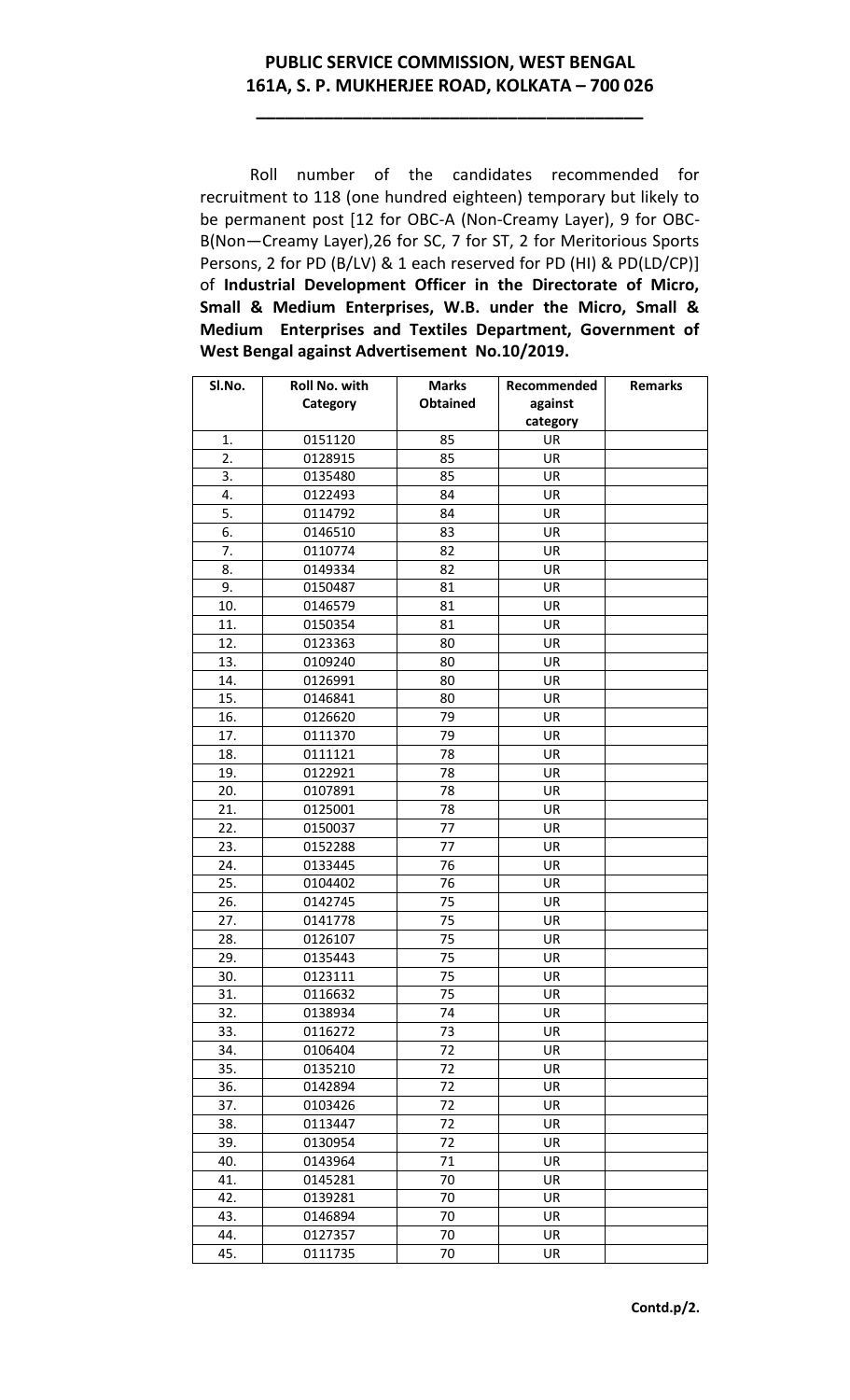## **PUBLIC SERVICE COMMISSION, WEST BENGAL 161A, S. P. MUKHERJEE ROAD, KOLKATA – 700 026**

**\_\_\_\_\_\_\_\_\_\_\_\_\_\_\_\_\_\_\_\_\_\_\_\_\_\_\_\_\_\_\_\_\_\_\_\_\_\_\_\_**

Roll number of the candidates recommended for recruitment to 118 (one hundred eighteen) temporary but likely to be permanent post [12 for OBC-A (Non-Creamy Layer), 9 for OBC-B(Non—Creamy Layer),26 for SC, 7 for ST, 2 for Meritorious Sports Persons, 2 for PD (B/LV) & 1 each reserved for PD (HI) & PD(LD/CP)] of **Industrial Development Officer in the Directorate of Micro, Small & Medium Enterprises, W.B. under the Micro, Small & Medium Enterprises and Textiles Department, Government of West Bengal against Advertisement No.10/2019.**

| SI.No. | Roll No. with | <b>Marks</b>    | Recommended | <b>Remarks</b> |
|--------|---------------|-----------------|-------------|----------------|
|        | Category      | <b>Obtained</b> | against     |                |
|        |               |                 | category    |                |
| 1.     | 0151120       | 85              | UR          |                |
| 2.     | 0128915       | 85              | UR          |                |
| 3.     | 0135480       | 85              | UR          |                |
| 4.     | 0122493       | 84              | UR          |                |
| 5.     | 0114792       | 84              | UR          |                |
| 6.     | 0146510       | 83              | UR          |                |
| 7.     | 0110774       | 82              | UR          |                |
| 8.     | 0149334       | 82              | UR          |                |
| 9.     | 0150487       | 81              | UR          |                |
| 10.    | 0146579       | 81              | UR          |                |
| 11.    | 0150354       | 81              | UR          |                |
| 12.    | 0123363       | 80              | UR          |                |
| 13.    | 0109240       | 80              | UR          |                |
| 14.    | 0126991       | 80              | <b>UR</b>   |                |
| 15.    | 0146841       | 80              | UR          |                |
| 16.    | 0126620       | 79              | UR          |                |
| 17.    | 0111370       | 79              | UR          |                |
| 18.    | 0111121       | 78              | UR          |                |
| 19.    | 0122921       | 78              | UR          |                |
| 20.    | 0107891       | 78              | UR          |                |
| 21.    | 0125001       | 78              | UR          |                |
| 22.    | 0150037       | 77              | UR          |                |
| 23.    | 0152288       | 77              | <b>UR</b>   |                |
| 24.    | 0133445       | 76              | UR          |                |
| 25.    | 0104402       | 76              | UR          |                |
| 26.    | 0142745       | 75              | UR          |                |
| 27.    | 0141778       | 75              | UR          |                |
| 28.    | 0126107       | 75              | <b>UR</b>   |                |
| 29.    | 0135443       | 75              | UR          |                |
| 30.    | 0123111       | 75              | UR          |                |
| 31.    | 0116632       | 75              | UR          |                |
| 32.    | 0138934       | 74              | UR          |                |
| 33.    | 0116272       | 73              | UR          |                |
| 34.    | 0106404       | 72              | UR          |                |
| 35.    | 0135210       | 72              | UR          |                |
| 36.    | 0142894       | 72              | UR          |                |
| 37.    | 0103426       | 72              | UR          |                |
| 38.    | 0113447       | 72              | UR          |                |
| 39.    | 0130954       | 72              | UR          |                |
| 40.    | 0143964       | 71              | UR          |                |
| 41.    | 0145281       | 70              | UR          |                |
| 42.    | 0139281       | 70              | UR          |                |
| 43.    | 0146894       | 70              | UR          |                |
| 44.    | 0127357       | 70              | UR          |                |
| 45.    | 0111735       | 70              | UR          |                |
|        |               |                 |             |                |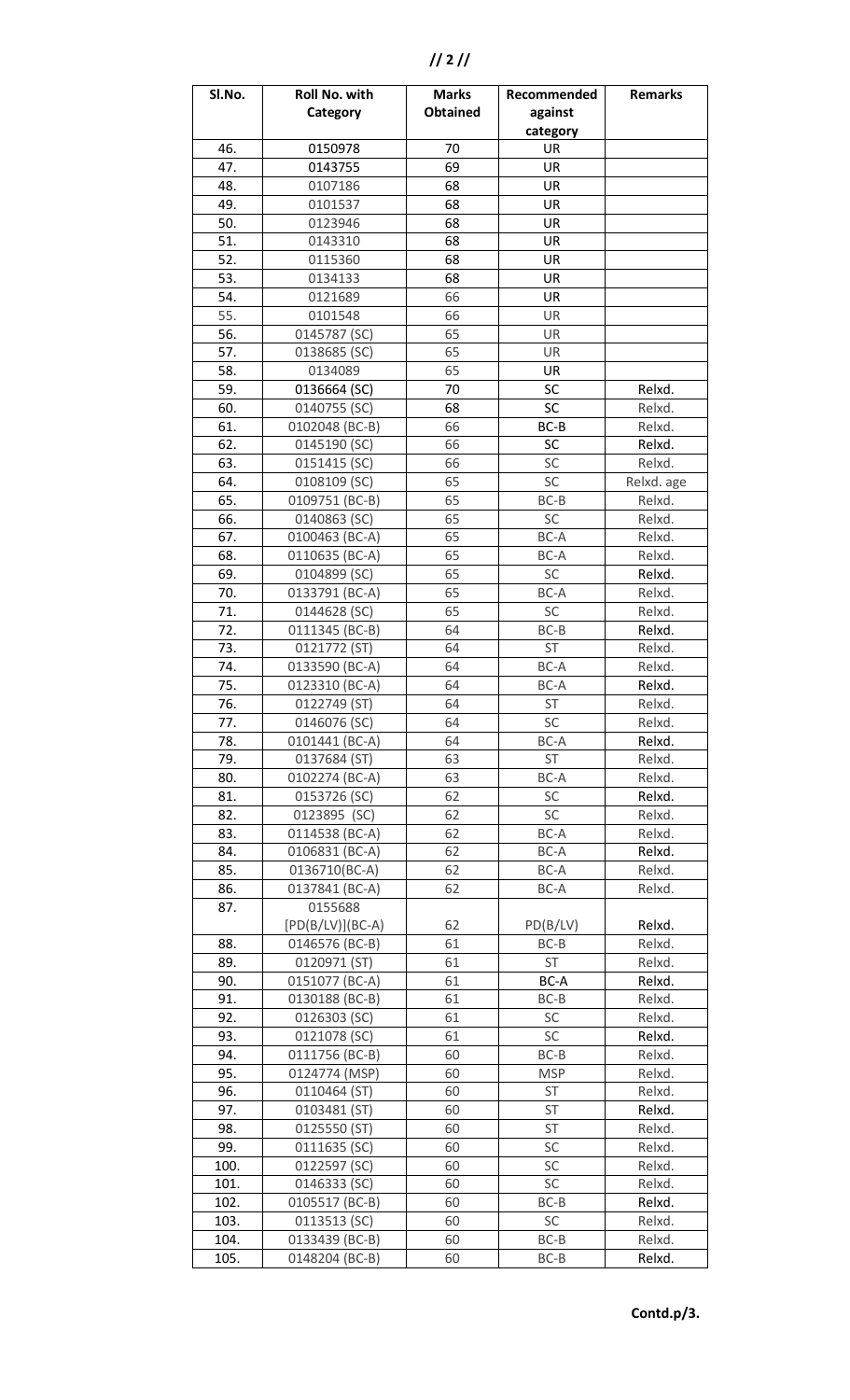| Sl.No. | Roll No. with      | <b>Marks</b>    | Recommended | <b>Remarks</b> |
|--------|--------------------|-----------------|-------------|----------------|
|        | Category           | <b>Obtained</b> | against     |                |
|        |                    |                 | category    |                |
| 46.    | 0150978            | 70              | UR          |                |
| 47.    | 0143755            | 69              | UR          |                |
| 48.    | 0107186            | 68              | UR          |                |
| 49.    | 0101537            | 68              | UR          |                |
| 50.    | 0123946            | 68              | UR          |                |
| 51.    | 0143310            | 68              | UR          |                |
| 52.    | 0115360            | 68              | UR          |                |
| 53.    | 0134133            | 68              | UR          |                |
| 54.    | 0121689            | 66              | UR          |                |
| 55.    | 0101548            | 66              | UR          |                |
| 56.    | 0145787 (SC)       | 65              | UR          |                |
| 57.    | 0138685 (SC)       | 65              | <b>UR</b>   |                |
| 58.    | 0134089            | 65              | UR          |                |
| 59.    | 0136664 (SC)       | 70              | SC          | Relxd.         |
| 60.    | 0140755 (SC)       | 68              | SC          | Relxd.         |
| 61.    | 0102048 (BC-B)     | 66              | $BC-B$      | Relxd.         |
| 62.    | 0145190 (SC)       | 66              | <b>SC</b>   | Relxd.         |
| 63.    | 0151415 (SC)       | 66              | SC          | Relxd.         |
| 64.    | 0108109 (SC)       | 65              | SC          | Relxd. age     |
| 65.    | 0109751 (BC-B)     | 65              | $BC-B$      | Relxd.         |
| 66.    | 0140863 (SC)       | 65              | SC          | Relxd.         |
| 67.    | 0100463 (BC-A)     | 65              | BC-A        | Relxd.         |
| 68.    | 0110635 (BC-A)     | 65              | BC-A        | Relxd.         |
| 69.    | 0104899 (SC)       | 65              | SC          | Relxd.         |
| 70.    | 0133791 (BC-A)     | 65              | BC-A        | Relxd.         |
| 71.    | 0144628 (SC)       | 65              | SC          | Relxd.         |
| 72.    | 0111345 (BC-B)     | 64              | $BC-B$      | Relxd.         |
| 73.    | 0121772 (ST)       | 64              | ST          | Relxd.         |
| 74.    | 0133590 (BC-A)     | 64              | BC-A        | Relxd.         |
| 75.    | 0123310 (BC-A)     | 64              | BC-A        | Relxd.         |
| 76.    | 0122749 (ST)       | 64              | <b>ST</b>   | Relxd.         |
| 77.    | 0146076 (SC)       | 64              | SC          | Relxd.         |
| 78.    | 0101441 (BC-A)     | 64              | BC-A        | Relxd.         |
| 79.    | 0137684 (ST)       | 63              | <b>ST</b>   | Relxd.         |
| 80.    | 0102274 (BC-A)     | 63              | BC-A        | Relxd.         |
| 81.    | 0153726 (SC)       | 62              | SC          | Relxd.         |
| 82.    | 0123895 (SC)       | 62              | SC          | Relxd.         |
| 83.    | 0114538 (BC-A)     | 62              | BC-A        | Relxd.         |
| 84.    | 0106831 (BC-A)     | 62              | BC-A        | Relxd.         |
| 85.    | 0136710(BC-A)      | 62              | BC-A        | Relxd.         |
| 86.    | 0137841 (BC-A)     | 62              | BC-A        | Relxd.         |
| 87.    | 0155688            |                 |             |                |
|        | $[PD(B/LV)](BC-A)$ | 62              | PD(B/LV)    | Relxd.         |
| 88.    | 0146576 (BC-B)     | 61              | $BC-B$      | Relxd.         |
| 89.    | 0120971 (ST)       | 61              | ST          | Relxd.         |
| 90.    | 0151077 (BC-A)     | 61              | BC-A        | Relxd.         |
| 91.    | 0130188 (BC-B)     | 61              | $BC-B$      | Relxd.         |
| 92.    | 0126303 (SC)       | 61              | SC          | Relxd.         |
| 93.    | 0121078 (SC)       | 61              | SC          | Relxd.         |
| 94.    | 0111756 (BC-B)     | 60              | $BC-B$      | Relxd.         |
| 95.    | 0124774 (MSP)      | 60              | <b>MSP</b>  | Relxd.         |
| 96.    | 0110464 (ST)       | 60              | ST          | Relxd.         |
| 97.    | 0103481 (ST)       | 60              | ST          | Relxd.         |
| 98.    | 0125550 (ST)       | 60              | ST          | Relxd.         |
| 99.    | 0111635 (SC)       | 60              | SC          | Relxd.         |
| 100.   | 0122597 (SC)       | 60              | SC          | Relxd.         |
| 101.   | 0146333 (SC)       | 60              | SC          | Relxd.         |
| 102.   | 0105517 (BC-B)     | 60              | $BC-B$      | Relxd.         |
| 103.   | 0113513 (SC)       | 60              | SC          | Relxd.         |
| 104.   | 0133439 (BC-B)     | 60              | $BC-B$      | Relxd.         |
| 105.   | 0148204 (BC-B)     | 60              | $BC-B$      | Relxd.         |